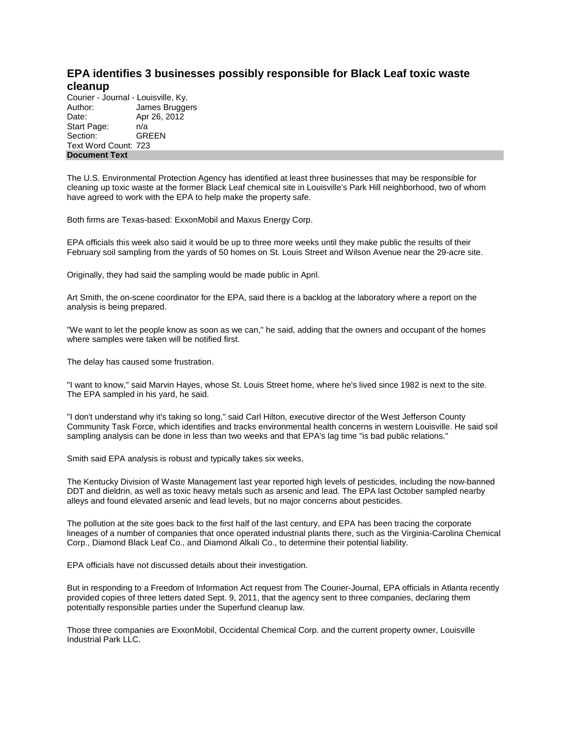## **EPA identifies 3 businesses possibly responsible for Black Leaf toxic waste cleanup**

Courier - Journal - Louisville, Ky. Author: James Bruggers Date: Apr 26, 2012 Start Page:  $n/a$ <br>Section: GREEN Section: Text Word Count: 723 **Document Text**

The U.S. Environmental Protection Agency has identified at least three businesses that may be responsible for cleaning up toxic waste at the former Black Leaf chemical site in Louisville's Park Hill neighborhood, two of whom have agreed to work with the EPA to help make the property safe.

Both firms are Texas-based: ExxonMobil and Maxus Energy Corp.

EPA officials this week also said it would be up to three more weeks until they make public the results of their February soil sampling from the yards of 50 homes on St. Louis Street and Wilson Avenue near the 29-acre site.

Originally, they had said the sampling would be made public in April.

Art Smith, the on-scene coordinator for the EPA, said there is a backlog at the laboratory where a report on the analysis is being prepared.

"We want to let the people know as soon as we can," he said, adding that the owners and occupant of the homes where samples were taken will be notified first.

The delay has caused some frustration.

"I want to know," said Marvin Hayes, whose St. Louis Street home, where he's lived since 1982 is next to the site. The EPA sampled in his yard, he said.

"I don't understand why it's taking so long," said Carl Hilton, executive director of the West Jefferson County Community Task Force, which identifies and tracks environmental health concerns in western Louisville. He said soil sampling analysis can be done in less than two weeks and that EPA's lag time "is bad public relations."

Smith said EPA analysis is robust and typically takes six weeks.

The Kentucky Division of Waste Management last year reported high levels of pesticides, including the now-banned DDT and dieldrin, as well as toxic heavy metals such as arsenic and lead. The EPA last October sampled nearby alleys and found elevated arsenic and lead levels, but no major concerns about pesticides.

The pollution at the site goes back to the first half of the last century, and EPA has been tracing the corporate lineages of a number of companies that once operated industrial plants there, such as the Virginia-Carolina Chemical Corp., Diamond Black Leaf Co., and Diamond Alkali Co., to determine their potential liability.

EPA officials have not discussed details about their investigation.

But in responding to a Freedom of Information Act request from The Courier-Journal, EPA officials in Atlanta recently provided copies of three letters dated Sept. 9, 2011, that the agency sent to three companies, declaring them potentially responsible parties under the Superfund cleanup law.

Those three companies are ExxonMobil, Occidental Chemical Corp. and the current property owner, Louisville Industrial Park LLC.